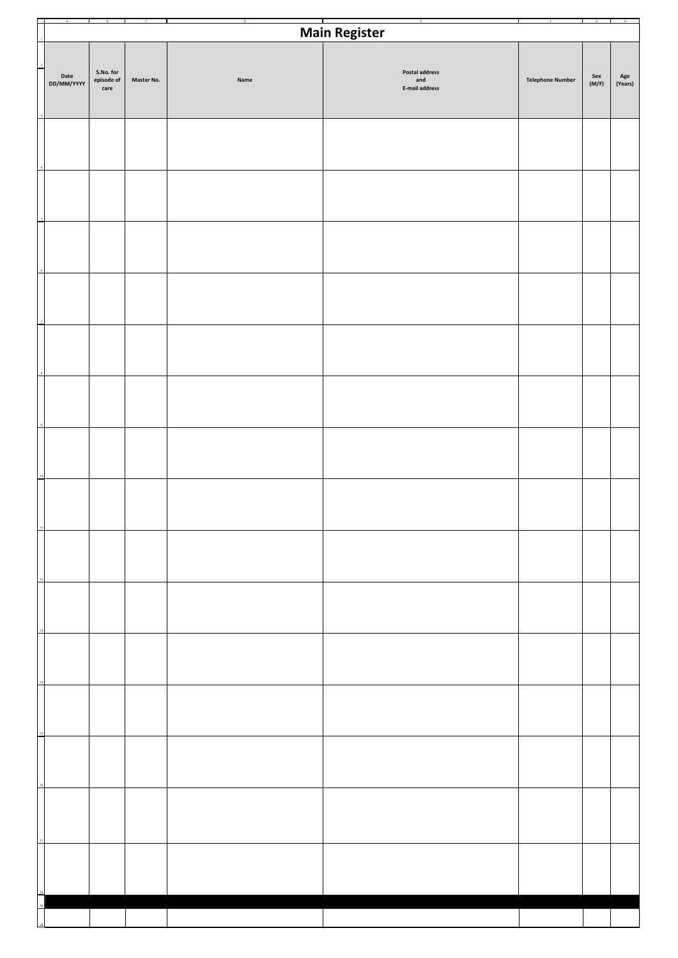| $-$ H $-$      | $\overline{D}$<br>$G$ and $G$ and $G$ and $G$ and $G$ and $G$ and $G$ and $G$ and $G$ and $G$ and $G$ and $G$ and $G$ and $G$ and $G$ and $G$ and $G$ and $G$ and $G$ and $G$ and $G$ and $G$ and $G$ and $G$ and $G$ and $G$ and $G$ and $G$ a<br>$\sim$<br>A<br>B<br>E<br>F<br>$\subset$<br><b>Main Register</b> |                         |                                                       |      |                   |                                 |                                      |  |  |  |  |  |  |
|----------------|--------------------------------------------------------------------------------------------------------------------------------------------------------------------------------------------------------------------------------------------------------------------------------------------------------------------|-------------------------|-------------------------------------------------------|------|-------------------|---------------------------------|--------------------------------------|--|--|--|--|--|--|
| Age<br>(Years) | Sex<br>$(M/F)$                                                                                                                                                                                                                                                                                                     | <b>Telephone Number</b> | <b>Postal address</b><br>and<br><b>E-mail address</b> | Name | <b>Master No.</b> | S.No. for<br>episode of<br>care | $\overline{2}$<br>Date<br>DD/MM/YYYY |  |  |  |  |  |  |
|                |                                                                                                                                                                                                                                                                                                                    |                         |                                                       |      |                   |                                 |                                      |  |  |  |  |  |  |
|                |                                                                                                                                                                                                                                                                                                                    |                         |                                                       |      |                   |                                 |                                      |  |  |  |  |  |  |
|                |                                                                                                                                                                                                                                                                                                                    |                         |                                                       |      |                   |                                 |                                      |  |  |  |  |  |  |
|                |                                                                                                                                                                                                                                                                                                                    |                         |                                                       |      |                   |                                 |                                      |  |  |  |  |  |  |
|                |                                                                                                                                                                                                                                                                                                                    |                         |                                                       |      |                   |                                 |                                      |  |  |  |  |  |  |
|                |                                                                                                                                                                                                                                                                                                                    |                         |                                                       |      |                   |                                 |                                      |  |  |  |  |  |  |
|                |                                                                                                                                                                                                                                                                                                                    |                         |                                                       |      |                   |                                 |                                      |  |  |  |  |  |  |
|                |                                                                                                                                                                                                                                                                                                                    |                         |                                                       |      |                   |                                 |                                      |  |  |  |  |  |  |
|                |                                                                                                                                                                                                                                                                                                                    |                         |                                                       |      |                   |                                 |                                      |  |  |  |  |  |  |
|                |                                                                                                                                                                                                                                                                                                                    |                         |                                                       |      |                   |                                 |                                      |  |  |  |  |  |  |
|                |                                                                                                                                                                                                                                                                                                                    |                         |                                                       |      |                   |                                 |                                      |  |  |  |  |  |  |
|                |                                                                                                                                                                                                                                                                                                                    |                         |                                                       |      |                   |                                 |                                      |  |  |  |  |  |  |
|                |                                                                                                                                                                                                                                                                                                                    |                         |                                                       |      |                   |                                 |                                      |  |  |  |  |  |  |